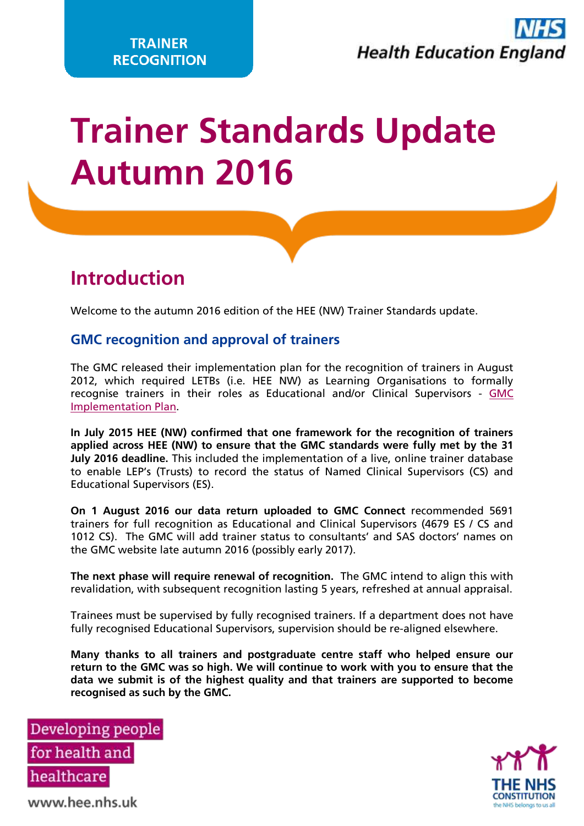# **Trainer Standards Update Autumn 2016**

### **Introduction**

Welcome to the autumn 2016 edition of the HEE (NW) Trainer Standards update.

### **GMC recognition and approval of trainers**

The GMC released their implementation plan for the recognition of trainers in August 2012, which required LETBs (i.e. HEE NW) as Learning Organisations to formally recognise trainers in their roles as Educational and/or Clinical Supervisors - [GMC](http://www.gmc-uk.org/Approving_trainers_implementation_plan_Aug_12.pdf_56452109.pdf)  [Implementation Plan.](http://www.gmc-uk.org/Approving_trainers_implementation_plan_Aug_12.pdf_56452109.pdf)

**In July 2015 HEE (NW) confirmed that one framework for the recognition of trainers applied across HEE (NW) to ensure that the GMC standards were fully met by the 31 July 2016 deadline.** This included the implementation of a live, online trainer database to enable LEP's (Trusts) to record the status of Named Clinical Supervisors (CS) and Educational Supervisors (ES).

**On 1 August 2016 our data return uploaded to GMC Connect** recommended 5691 trainers for full recognition as Educational and Clinical Supervisors (4679 ES / CS and 1012 CS). The GMC will add trainer status to consultants' and SAS doctors' names on the GMC website late autumn 2016 (possibly early 2017).

**The next phase will require renewal of recognition.** The GMC intend to align this with revalidation, with subsequent recognition lasting 5 years, refreshed at annual appraisal.

Trainees must be supervised by fully recognised trainers. If a department does not have fully recognised Educational Supervisors, supervision should be re-aligned elsewhere.

**Many thanks to all trainers and postgraduate centre staff who helped ensure our return to the GMC was so high. We will continue to work with you to ensure that the data we submit is of the highest quality and that trainers are supported to become recognised as such by the GMC.** 





www.hee.nhs.uk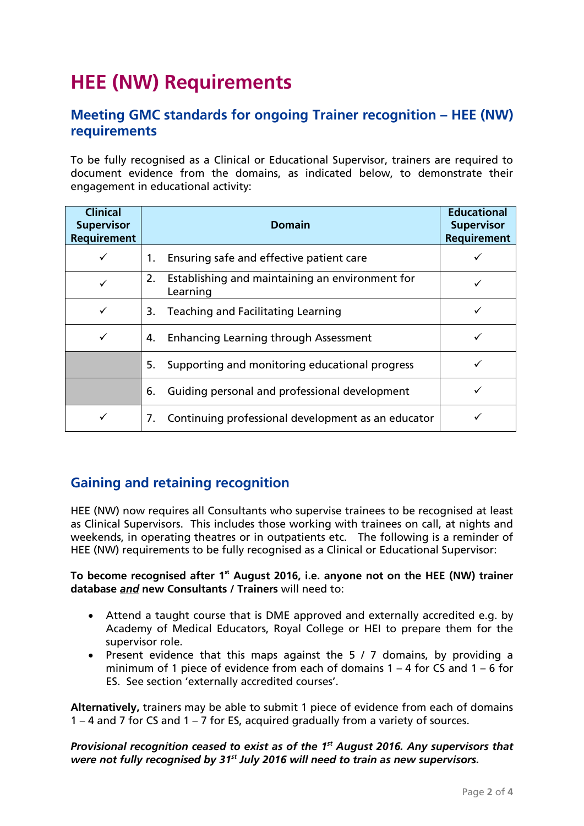# **HEE (NW) Requirements**

### **Meeting GMC standards for ongoing Trainer recognition – HEE (NW) requirements**

To be fully recognised as a Clinical or Educational Supervisor, trainers are required to document evidence from the domains, as indicated below, to demonstrate their engagement in educational activity:

| <b>Clinical</b><br><b>Supervisor</b><br><b>Requirement</b> | <b>Domain</b>                                                     | <b>Educational</b><br><b>Supervisor</b><br><b>Requirement</b> |
|------------------------------------------------------------|-------------------------------------------------------------------|---------------------------------------------------------------|
| ✓                                                          | Ensuring safe and effective patient care<br>1.                    |                                                               |
| $\checkmark$                                               | Establishing and maintaining an environment for<br>2.<br>Learning |                                                               |
| ✓                                                          | <b>Teaching and Facilitating Learning</b><br>3.                   |                                                               |
| ✓                                                          | <b>Enhancing Learning through Assessment</b><br>4.                | ✓                                                             |
|                                                            | Supporting and monitoring educational progress<br>5.              |                                                               |
|                                                            | Guiding personal and professional development<br>6.               |                                                               |
| ✓                                                          | Continuing professional development as an educator<br>7.          |                                                               |

### **Gaining and retaining recognition**

HEE (NW) now requires all Consultants who supervise trainees to be recognised at least as Clinical Supervisors. This includes those working with trainees on call, at nights and weekends, in operating theatres or in outpatients etc. The following is a reminder of HEE (NW) requirements to be fully recognised as a Clinical or Educational Supervisor:

#### **To become recognised after 1st August 2016, i.e. anyone not on the HEE (NW) trainer database** *and* **new Consultants / Trainers** will need to:

- Attend a taught course that is DME approved and externally accredited e.g. by Academy of Medical Educators, Royal College or HEI to prepare them for the supervisor role.
- Present evidence that this maps against the 5 / 7 domains, by providing a minimum of 1 piece of evidence from each of domains 1 – 4 for CS and 1 – 6 for ES. See section 'externally accredited courses'.

**Alternatively,** trainers may be able to submit 1 piece of evidence from each of domains 1 – 4 and 7 for CS and 1 – 7 for ES, acquired gradually from a variety of sources.

#### *Provisional recognition ceased to exist as of the 1st August 2016. Any supervisors that were not fully recognised by 31st July 2016 will need to train as new supervisors.*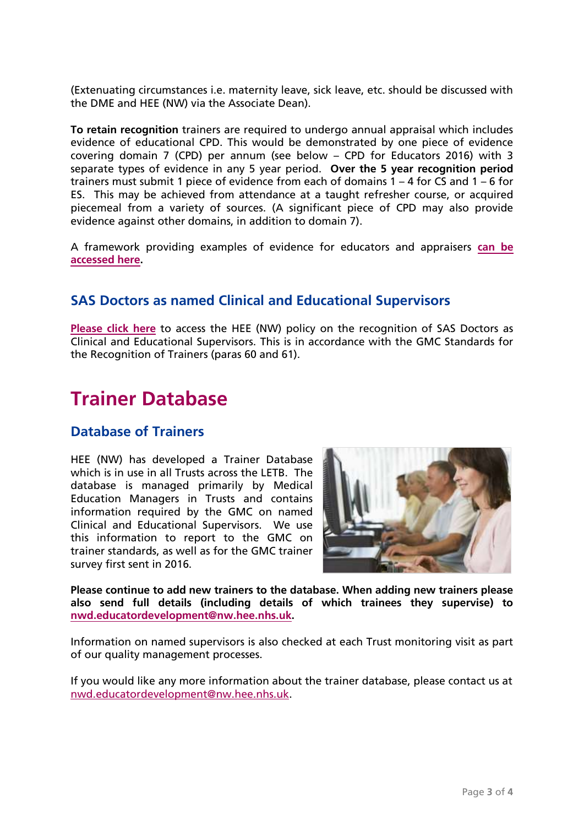(Extenuating circumstances i.e. maternity leave, sick leave, etc. should be discussed with the DME and HEE (NW) via the Associate Dean).

**To retain recognition** trainers are required to undergo annual appraisal which includes evidence of educational CPD. This would be demonstrated by one piece of evidence covering domain 7 (CPD) per annum (see below – CPD for Educators 2016) with 3 separate types of evidence in any 5 year period. **Over the 5 year recognition period**  trainers must submit 1 piece of evidence from each of domains 1 – 4 for CS and 1 – 6 for ES. This may be achieved from attendance at a taught refresher course, or acquired piecemeal from a variety of sources. (A significant piece of CPD may also provide evidence against other domains, in addition to domain 7).

A framework providing examples of evidence for educators and appraisers **[can be](https://www.nwpgmd.nhs.uk/resources/evidence-framework-educators-and-appraisers)  [accessed here.](https://www.nwpgmd.nhs.uk/resources/evidence-framework-educators-and-appraisers)** 

### **SAS Doctors as named Clinical and Educational Supervisors**

**[Please click here](https://www.nwpgmd.nhs.uk/resources/sas-doctors-named-clinical-and-educational-supervisors)** to access the HEE (NW) policy on the recognition of SAS Doctors as Clinical and Educational Supervisors. This is in accordance with the GMC Standards for the Recognition of Trainers (paras 60 and 61).

### **Trainer Database**

### **Database of Trainers**

HEE (NW) has developed a Trainer Database which is in use in all Trusts across the LETB. The database is managed primarily by Medical Education Managers in Trusts and contains information required by the GMC on named Clinical and Educational Supervisors. We use this information to report to the GMC on trainer standards, as well as for the GMC trainer survey first sent in 2016.



**Please continue to add new trainers to the database. When adding new trainers please also send full details (including details of which trainees they supervise) to [nwd.educatordevelopment@nw.hee.nhs.uk.](mailto:nwd.educatordevelopment@nw.hee.nhs.uk)**

Information on named supervisors is also checked at each Trust monitoring visit as part of our quality management processes.

If you would like any more information about the trainer database, please contact us at [nwd.educatordevelopment@nw.hee.nhs.uk.](mailto:nwd.educatordevelopment@nw.hee.nhs.uk)